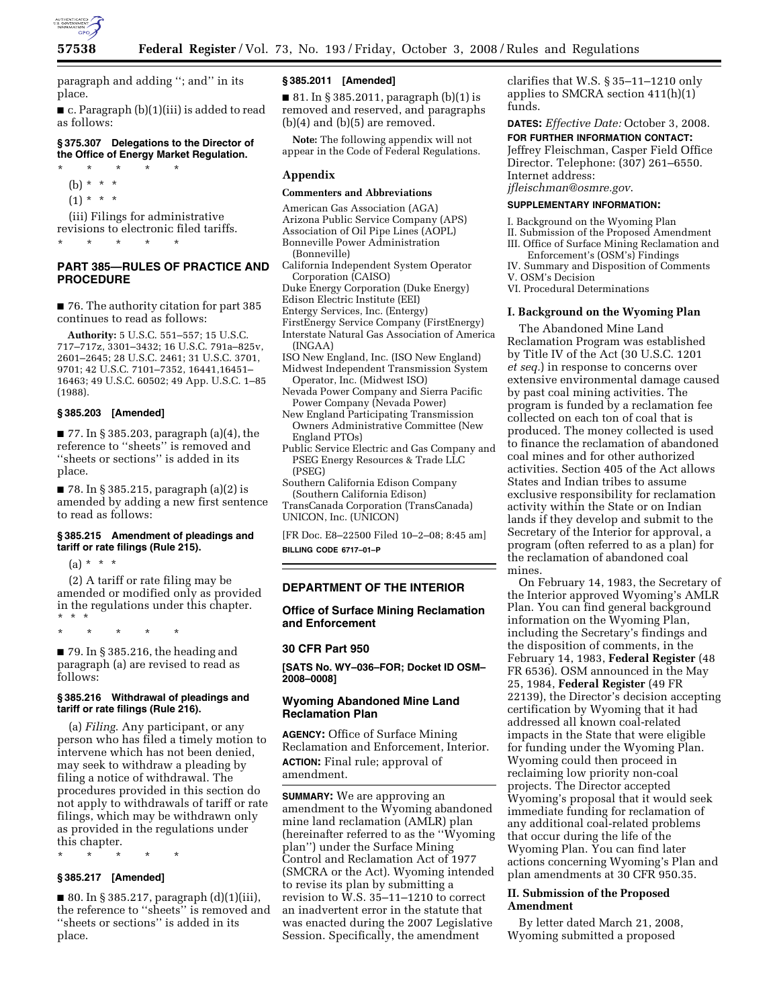

paragraph and adding ''; and'' in its place.

■ c. Paragraph (b)(1)(iii) is added to read as follows:

## **§ 375.307 Delegations to the Director of the Office of Energy Market Regulation.**

- \* \* \* \* \* (b) \* \* \*
	- $(1) * * * *$

(iii) Filings for administrative revisions to electronic filed tariffs. \* \* \* \* \*

# **PART 385—RULES OF PRACTICE AND PROCEDURE**

■ 76. The authority citation for part 385 continues to read as follows:

**Authority:** 5 U.S.C. 551–557; 15 U.S.C. 717–717z, 3301–3432; 16 U.S.C. 791a–825v, 2601–2645; 28 U.S.C. 2461; 31 U.S.C. 3701, 9701; 42 U.S.C. 7101–7352, 16441,16451– 16463; 49 U.S.C. 60502; 49 App. U.S.C. 1–85 (1988).

# **§ 385.203 [Amended]**

■ 77. In § 385.203, paragraph (a)(4), the reference to ''sheets'' is removed and ''sheets or sections'' is added in its place.

■ 78. In § 385.215, paragraph (a)(2) is amended by adding a new first sentence to read as follows:

### **§ 385.215 Amendment of pleadings and tariff or rate filings (Rule 215).**

 $(a) * * * *$ 

(2) A tariff or rate filing may be amended or modified only as provided in the regulations under this chapter. \* \* \*

\* \* \* \* \*

 $\blacksquare$  79. In § 385.216, the heading and paragraph (a) are revised to read as follows:

### **§ 385.216 Withdrawal of pleadings and tariff or rate filings (Rule 216).**

(a) *Filing*. Any participant, or any person who has filed a timely motion to intervene which has not been denied, may seek to withdraw a pleading by filing a notice of withdrawal. The procedures provided in this section do not apply to withdrawals of tariff or rate filings, which may be withdrawn only as provided in the regulations under this chapter.

\* \* \* \* \*

# **§ 385.217 [Amended]**

■ 80. In § 385.217, paragraph  $(d)(1)(iii)$ , the reference to ''sheets'' is removed and ''sheets or sections'' is added in its place.

### **§ 385.2011 [Amended]**

■ 81. In § 385.2011, paragraph (b)(1) is removed and reserved, and paragraphs  $(b)(4)$  and  $(b)(5)$  are removed.

**Note:** The following appendix will not appear in the Code of Federal Regulations.

### **Appendix**

### **Commenters and Abbreviations**

American Gas Association (AGA) Arizona Public Service Company (APS) Association of Oil Pipe Lines (AOPL) Bonneville Power Administration (Bonneville)

California Independent System Operator Corporation (CAISO)

- Duke Energy Corporation (Duke Energy)
- Edison Electric Institute (EEI)
- Entergy Services, Inc. (Entergy)
- FirstEnergy Service Company (FirstEnergy)

Interstate Natural Gas Association of America (INGAA)

- ISO New England, Inc. (ISO New England)
- Midwest Independent Transmission System Operator, Inc. (Midwest ISO)
- Nevada Power Company and Sierra Pacific Power Company (Nevada Power)
- New England Participating Transmission Owners Administrative Committee (New England PTOs)
- Public Service Electric and Gas Company and PSEG Energy Resources & Trade LLC (PSEG)
- Southern California Edison Company (Southern California Edison) TransCanada Corporation (TransCanada) UNICON, Inc. (UNICON)

[FR Doc. E8–22500 Filed 10–2–08; 8:45 am] **BILLING CODE 6717–01–P** 

# **DEPARTMENT OF THE INTERIOR**

# **Office of Surface Mining Reclamation and Enforcement**

#### **30 CFR Part 950**

**[SATS No. WY–036–FOR; Docket ID OSM– 2008–0008]** 

# **Wyoming Abandoned Mine Land Reclamation Plan**

**AGENCY:** Office of Surface Mining Reclamation and Enforcement, Interior. **ACTION:** Final rule; approval of amendment.

**SUMMARY:** We are approving an amendment to the Wyoming abandoned mine land reclamation (AMLR) plan (hereinafter referred to as the ''Wyoming plan'') under the Surface Mining Control and Reclamation Act of 1977 (SMCRA or the Act). Wyoming intended to revise its plan by submitting a revision to W.S. 35–11–1210 to correct an inadvertent error in the statute that was enacted during the 2007 Legislative Session. Specifically, the amendment

clarifies that W.S. § 35–11–1210 only applies to SMCRA section 411(h)(1) funds.

**DATES:** *Effective Date:* October 3, 2008. **FOR FURTHER INFORMATION CONTACT:**  Jeffrey Fleischman, Casper Field Office Director. Telephone: (307) 261–6550. Internet address: *jfleischman@osmre.gov*.

# **SUPPLEMENTARY INFORMATION:**

I. Background on the Wyoming Plan

- II. Submission of the Proposed Amendment
- III. Office of Surface Mining Reclamation and Enforcement's (OSM's) Findings
- IV. Summary and Disposition of Comments V. OSM's Decision
- VI. Procedural Determinations

#### **I. Background on the Wyoming Plan**

The Abandoned Mine Land Reclamation Program was established by Title IV of the Act (30 U.S.C. 1201 *et seq.*) in response to concerns over extensive environmental damage caused by past coal mining activities. The program is funded by a reclamation fee collected on each ton of coal that is produced. The money collected is used to finance the reclamation of abandoned coal mines and for other authorized activities. Section 405 of the Act allows States and Indian tribes to assume exclusive responsibility for reclamation activity within the State or on Indian lands if they develop and submit to the Secretary of the Interior for approval, a program (often referred to as a plan) for the reclamation of abandoned coal mines.

On February 14, 1983, the Secretary of the Interior approved Wyoming's AMLR Plan. You can find general background information on the Wyoming Plan, including the Secretary's findings and the disposition of comments, in the February 14, 1983, **Federal Register** (48 FR 6536). OSM announced in the May 25, 1984, **Federal Register** (49 FR 22139), the Director's decision accepting certification by Wyoming that it had addressed all known coal-related impacts in the State that were eligible for funding under the Wyoming Plan. Wyoming could then proceed in reclaiming low priority non-coal projects. The Director accepted Wyoming's proposal that it would seek immediate funding for reclamation of any additional coal-related problems that occur during the life of the Wyoming Plan. You can find later actions concerning Wyoming's Plan and plan amendments at 30 CFR 950.35.

## **II. Submission of the Proposed Amendment**

By letter dated March 21, 2008, Wyoming submitted a proposed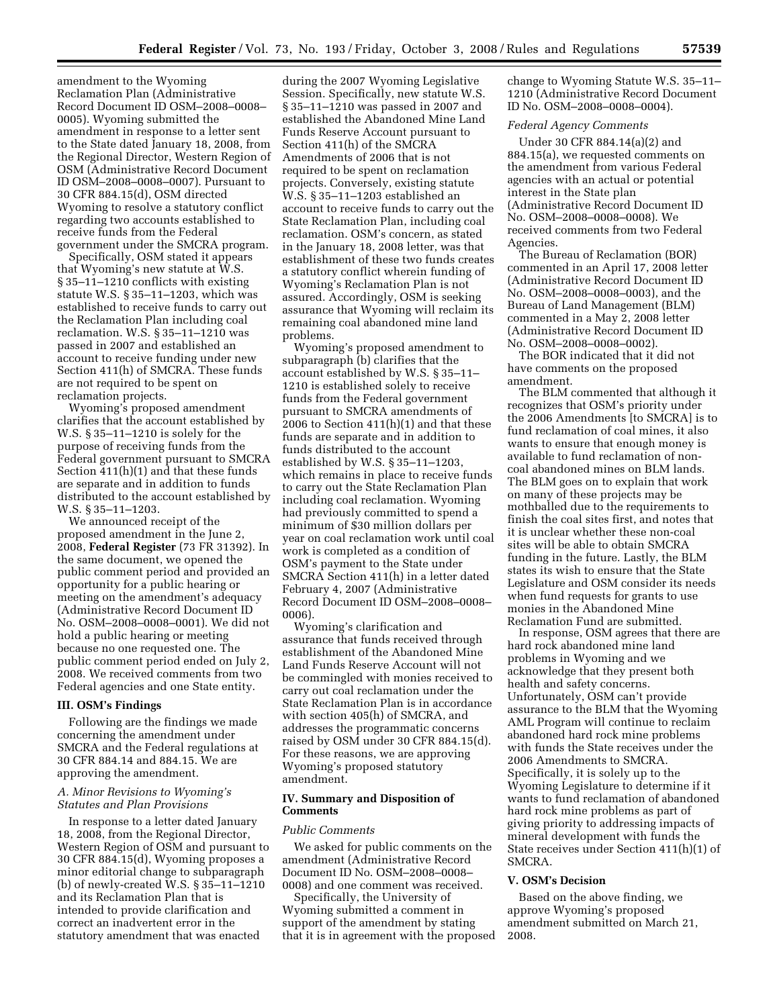amendment to the Wyoming Reclamation Plan (Administrative Record Document ID OSM–2008–0008– 0005). Wyoming submitted the amendment in response to a letter sent to the State dated January 18, 2008, from the Regional Director, Western Region of OSM (Administrative Record Document ID OSM–2008–0008–0007). Pursuant to 30 CFR 884.15(d), OSM directed Wyoming to resolve a statutory conflict regarding two accounts established to receive funds from the Federal government under the SMCRA program.

Specifically, OSM stated it appears that Wyoming's new statute at W.S. § 35–11–1210 conflicts with existing statute W.S. § 35–11–1203, which was established to receive funds to carry out the Reclamation Plan including coal reclamation. W.S. § 35–11–1210 was passed in 2007 and established an account to receive funding under new Section 411(h) of SMCRA. These funds are not required to be spent on reclamation projects.

Wyoming's proposed amendment clarifies that the account established by W.S. § 35–11–1210 is solely for the purpose of receiving funds from the Federal government pursuant to SMCRA Section 411(h)(1) and that these funds are separate and in addition to funds distributed to the account established by W.S. § 35–11–1203.

We announced receipt of the proposed amendment in the June 2, 2008, **Federal Register** (73 FR 31392). In the same document, we opened the public comment period and provided an opportunity for a public hearing or meeting on the amendment's adequacy (Administrative Record Document ID No. OSM–2008–0008–0001). We did not hold a public hearing or meeting because no one requested one. The public comment period ended on July 2, 2008. We received comments from two Federal agencies and one State entity.

#### **III. OSM's Findings**

Following are the findings we made concerning the amendment under SMCRA and the Federal regulations at 30 CFR 884.14 and 884.15. We are approving the amendment.

# *A. Minor Revisions to Wyoming's Statutes and Plan Provisions*

In response to a letter dated January 18, 2008, from the Regional Director, Western Region of OSM and pursuant to 30 CFR 884.15(d), Wyoming proposes a minor editorial change to subparagraph (b) of newly-created W.S. § 35–11–1210 and its Reclamation Plan that is intended to provide clarification and correct an inadvertent error in the statutory amendment that was enacted

during the 2007 Wyoming Legislative Session. Specifically, new statute W.S. § 35–11–1210 was passed in 2007 and established the Abandoned Mine Land Funds Reserve Account pursuant to Section 411(h) of the SMCRA Amendments of 2006 that is not required to be spent on reclamation projects. Conversely, existing statute W.S. § 35–11–1203 established an account to receive funds to carry out the State Reclamation Plan, including coal reclamation. OSM's concern, as stated in the January 18, 2008 letter, was that establishment of these two funds creates a statutory conflict wherein funding of Wyoming's Reclamation Plan is not assured. Accordingly, OSM is seeking assurance that Wyoming will reclaim its remaining coal abandoned mine land problems.

Wyoming's proposed amendment to subparagraph (b) clarifies that the account established by W.S. § 35–11– 1210 is established solely to receive funds from the Federal government pursuant to SMCRA amendments of 2006 to Section  $411(h)(1)$  and that these funds are separate and in addition to funds distributed to the account established by W.S. § 35–11–1203, which remains in place to receive funds to carry out the State Reclamation Plan including coal reclamation. Wyoming had previously committed to spend a minimum of \$30 million dollars per year on coal reclamation work until coal work is completed as a condition of OSM's payment to the State under SMCRA Section 411(h) in a letter dated February 4, 2007 (Administrative Record Document ID OSM–2008–0008– 0006).

Wyoming's clarification and assurance that funds received through establishment of the Abandoned Mine Land Funds Reserve Account will not be commingled with monies received to carry out coal reclamation under the State Reclamation Plan is in accordance with section 405(h) of SMCRA, and addresses the programmatic concerns raised by OSM under 30 CFR 884.15(d). For these reasons, we are approving Wyoming's proposed statutory amendment.

## **IV. Summary and Disposition of Comments**

#### *Public Comments*

We asked for public comments on the amendment (Administrative Record Document ID No. OSM–2008–0008– 0008) and one comment was received.

Specifically, the University of Wyoming submitted a comment in support of the amendment by stating that it is in agreement with the proposed change to Wyoming Statute W.S. 35–11– 1210 (Administrative Record Document ID No. OSM–2008–0008–0004).

# *Federal Agency Comments*

Under 30 CFR 884.14(a)(2) and 884.15(a), we requested comments on the amendment from various Federal agencies with an actual or potential interest in the State plan (Administrative Record Document ID No. OSM–2008–0008–0008). We received comments from two Federal Agencies.

The Bureau of Reclamation (BOR) commented in an April 17, 2008 letter (Administrative Record Document ID No. OSM–2008–0008–0003), and the Bureau of Land Management (BLM) commented in a May 2, 2008 letter (Administrative Record Document ID No. OSM–2008–0008–0002).

The BOR indicated that it did not have comments on the proposed amendment.

The BLM commented that although it recognizes that OSM's priority under the 2006 Amendments [to SMCRA] is to fund reclamation of coal mines, it also wants to ensure that enough money is available to fund reclamation of noncoal abandoned mines on BLM lands. The BLM goes on to explain that work on many of these projects may be mothballed due to the requirements to finish the coal sites first, and notes that it is unclear whether these non-coal sites will be able to obtain SMCRA funding in the future. Lastly, the BLM states its wish to ensure that the State Legislature and OSM consider its needs when fund requests for grants to use monies in the Abandoned Mine Reclamation Fund are submitted.

In response, OSM agrees that there are hard rock abandoned mine land problems in Wyoming and we acknowledge that they present both health and safety concerns. Unfortunately, OSM can't provide assurance to the BLM that the Wyoming AML Program will continue to reclaim abandoned hard rock mine problems with funds the State receives under the 2006 Amendments to SMCRA. Specifically, it is solely up to the Wyoming Legislature to determine if it wants to fund reclamation of abandoned hard rock mine problems as part of giving priority to addressing impacts of mineral development with funds the State receives under Section 411(h)(1) of SMCRA.

#### **V. OSM's Decision**

Based on the above finding, we approve Wyoming's proposed amendment submitted on March 21, 2008.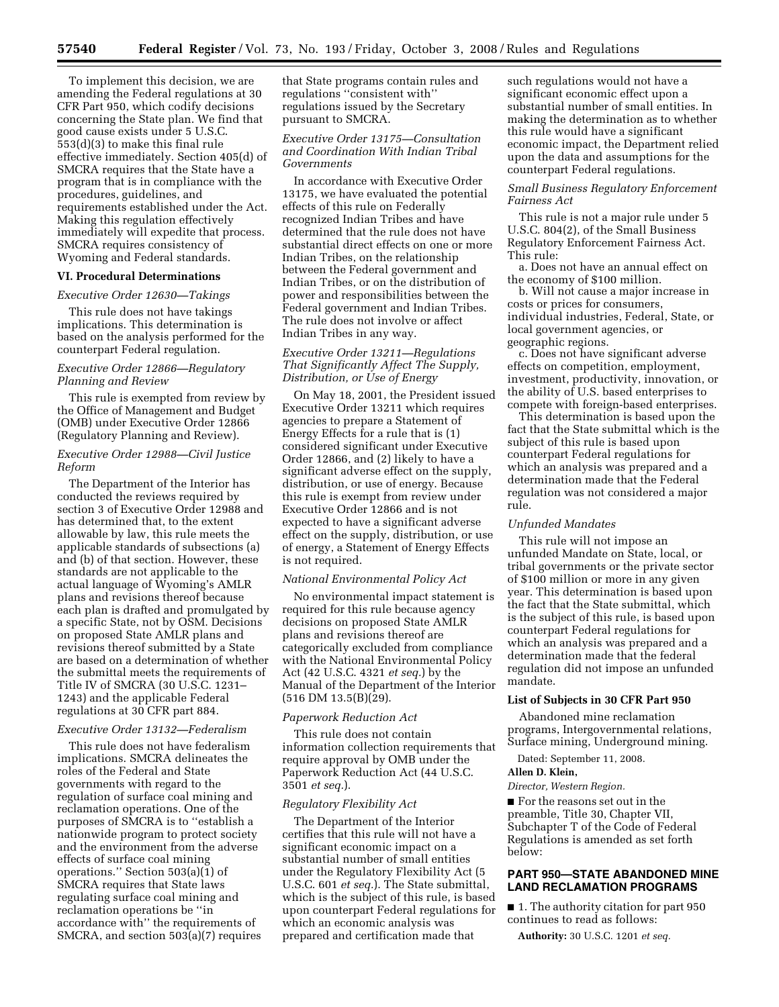To implement this decision, we are amending the Federal regulations at 30 CFR Part 950, which codify decisions concerning the State plan. We find that good cause exists under 5 U.S.C. 553(d)(3) to make this final rule effective immediately. Section 405(d) of SMCRA requires that the State have a program that is in compliance with the procedures, guidelines, and requirements established under the Act. Making this regulation effectively immediately will expedite that process. SMCRA requires consistency of Wyoming and Federal standards.

# **VI. Procedural Determinations**

#### *Executive Order 12630—Takings*

This rule does not have takings implications. This determination is based on the analysis performed for the counterpart Federal regulation.

# *Executive Order 12866—Regulatory Planning and Review*

This rule is exempted from review by the Office of Management and Budget (OMB) under Executive Order 12866 (Regulatory Planning and Review).

# *Executive Order 12988—Civil Justice Reform*

The Department of the Interior has conducted the reviews required by section 3 of Executive Order 12988 and has determined that, to the extent allowable by law, this rule meets the applicable standards of subsections (a) and (b) of that section. However, these standards are not applicable to the actual language of Wyoming's AMLR plans and revisions thereof because each plan is drafted and promulgated by a specific State, not by OSM. Decisions on proposed State AMLR plans and revisions thereof submitted by a State are based on a determination of whether the submittal meets the requirements of Title IV of SMCRA (30 U.S.C. 1231– 1243) and the applicable Federal regulations at 30 CFR part 884.

### *Executive Order 13132—Federalism*

This rule does not have federalism implications. SMCRA delineates the roles of the Federal and State governments with regard to the regulation of surface coal mining and reclamation operations. One of the purposes of SMCRA is to ''establish a nationwide program to protect society and the environment from the adverse effects of surface coal mining operations." Section  $503(a)(1)$  of SMCRA requires that State laws regulating surface coal mining and reclamation operations be ''in accordance with'' the requirements of SMCRA, and section 503(a)(7) requires that State programs contain rules and regulations ''consistent with'' regulations issued by the Secretary pursuant to SMCRA.

# *Executive Order 13175—Consultation and Coordination With Indian Tribal Governments*

In accordance with Executive Order 13175, we have evaluated the potential effects of this rule on Federally recognized Indian Tribes and have determined that the rule does not have substantial direct effects on one or more Indian Tribes, on the relationship between the Federal government and Indian Tribes, or on the distribution of power and responsibilities between the Federal government and Indian Tribes. The rule does not involve or affect Indian Tribes in any way.

# *Executive Order 13211—Regulations That Significantly Affect The Supply, Distribution, or Use of Energy*

On May 18, 2001, the President issued Executive Order 13211 which requires agencies to prepare a Statement of Energy Effects for a rule that is (1) considered significant under Executive Order 12866, and (2) likely to have a significant adverse effect on the supply, distribution, or use of energy. Because this rule is exempt from review under Executive Order 12866 and is not expected to have a significant adverse effect on the supply, distribution, or use of energy, a Statement of Energy Effects is not required.

#### *National Environmental Policy Act*

No environmental impact statement is required for this rule because agency decisions on proposed State AMLR plans and revisions thereof are categorically excluded from compliance with the National Environmental Policy Act (42 U.S.C. 4321 *et seq.*) by the Manual of the Department of the Interior (516 DM 13.5(B)(29).

#### *Paperwork Reduction Act*

This rule does not contain information collection requirements that require approval by OMB under the Paperwork Reduction Act (44 U.S.C. 3501 *et seq.*).

### *Regulatory Flexibility Act*

The Department of the Interior certifies that this rule will not have a significant economic impact on a substantial number of small entities under the Regulatory Flexibility Act (5 U.S.C. 601 *et seq.*). The State submittal, which is the subject of this rule, is based upon counterpart Federal regulations for which an economic analysis was prepared and certification made that

such regulations would not have a significant economic effect upon a substantial number of small entities. In making the determination as to whether this rule would have a significant economic impact, the Department relied upon the data and assumptions for the counterpart Federal regulations.

# *Small Business Regulatory Enforcement Fairness Act*

This rule is not a major rule under 5 U.S.C. 804(2), of the Small Business Regulatory Enforcement Fairness Act. This rule:

a. Does not have an annual effect on the economy of \$100 million.

b. Will not cause a major increase in costs or prices for consumers, individual industries, Federal, State, or local government agencies, or geographic regions.

c. Does not have significant adverse effects on competition, employment, investment, productivity, innovation, or the ability of U.S. based enterprises to compete with foreign-based enterprises.

This determination is based upon the fact that the State submittal which is the subject of this rule is based upon counterpart Federal regulations for which an analysis was prepared and a determination made that the Federal regulation was not considered a major rule.

### *Unfunded Mandates*

This rule will not impose an unfunded Mandate on State, local, or tribal governments or the private sector of \$100 million or more in any given year. This determination is based upon the fact that the State submittal, which is the subject of this rule, is based upon counterpart Federal regulations for which an analysis was prepared and a determination made that the federal regulation did not impose an unfunded mandate.

#### **List of Subjects in 30 CFR Part 950**

Abandoned mine reclamation programs, Intergovernmental relations, Surface mining, Underground mining.

Dated: September 11, 2008.

### **Allen D. Klein,**

*Director, Western Region.* 

■ For the reasons set out in the preamble, Title 30, Chapter VII, Subchapter T of the Code of Federal Regulations is amended as set forth below:

# **PART 950—STATE ABANDONED MINE LAND RECLAMATION PROGRAMS**

■ 1. The authority citation for part 950 continues to read as follows:

**Authority:** 30 U.S.C. 1201 *et seq.*